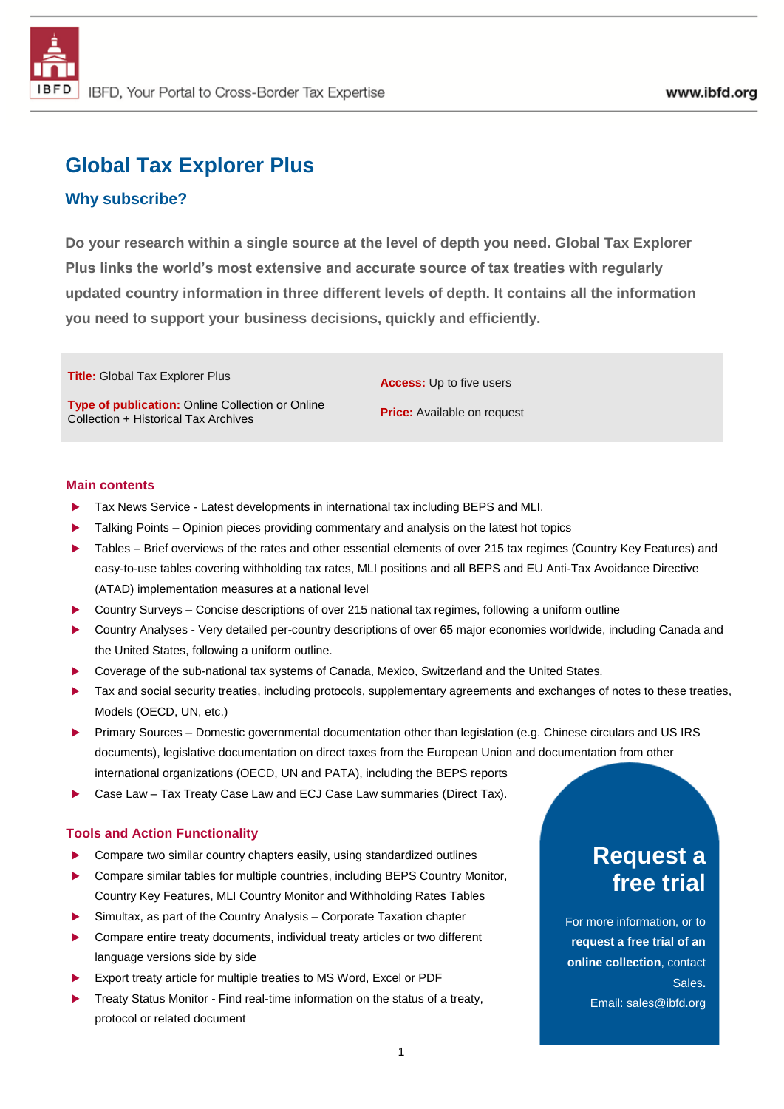# **Global Tax Explorer Plus**

# **Why subscribe?**

**Do your research within a single source at the level of depth you need. Global Tax Explorer Plus links the world's most extensive and accurate source of tax treaties with regularly updated country information in three different levels of depth. It contains all the information you need to support your business decisions, quickly and efficiently.**

**Title:** Global Tax Explorer Plus

**Type of publication:** Online Collection or Online Collection + Historical Tax Archives

**Access:** Up to five users

**Price:** Available on request

## **Main contents**

- Tax News Service Latest developments in international tax including BEPS and MLI.
- Talking Points Opinion pieces providing commentary and analysis on the latest hot topics
- Tables Brief overviews of the rates and other essential elements of over 215 tax regimes (Country Key Features) and easy-to-use tables covering withholding tax rates, MLI positions and all BEPS and EU Anti-Tax Avoidance Directive (ATAD) implementation measures at a national level
- Country Surveys Concise descriptions of over 215 national tax regimes, following a uniform outline
- Country Analyses Very detailed per-country descriptions of over 65 major economies worldwide, including Canada and the United States, following a uniform outline.
- Coverage of the sub-national tax systems of Canada, Mexico, Switzerland and the United States.
- Tax and social security treaties, including protocols, supplementary agreements and exchanges of notes to these treaties, Models (OECD, UN, etc.)
- Primary Sources Domestic governmental documentation other than legislation (e.g. Chinese circulars and US IRS documents), legislative documentation on direct taxes from the European Union and documentation from other international organizations (OECD, UN and PATA), including the BEPS reports
- Case Law Tax Treaty Case Law and ECJ Case Law summaries (Direct Tax).

### **Tools and Action Functionality**

- ▶ Compare two similar country chapters easily, using standardized outlines
- Compare similar tables for multiple countries, including BEPS Country Monitor, Country Key Features, MLI Country Monitor and Withholding Rates Tables
- Simultax, as part of the Country Analysis Corporate Taxation chapter
- ▶ Compare entire treaty documents, individual treaty articles or two different language versions side by side
- Export treaty article for multiple treaties to MS Word, Excel or PDF
- Treaty Status Monitor Find real-time information on the status of a treaty, protocol or related document

# **Request a free trial**

For more information, or to **request a free trial of an online collection**, contact Sales**.** Email: sales@ibfd.org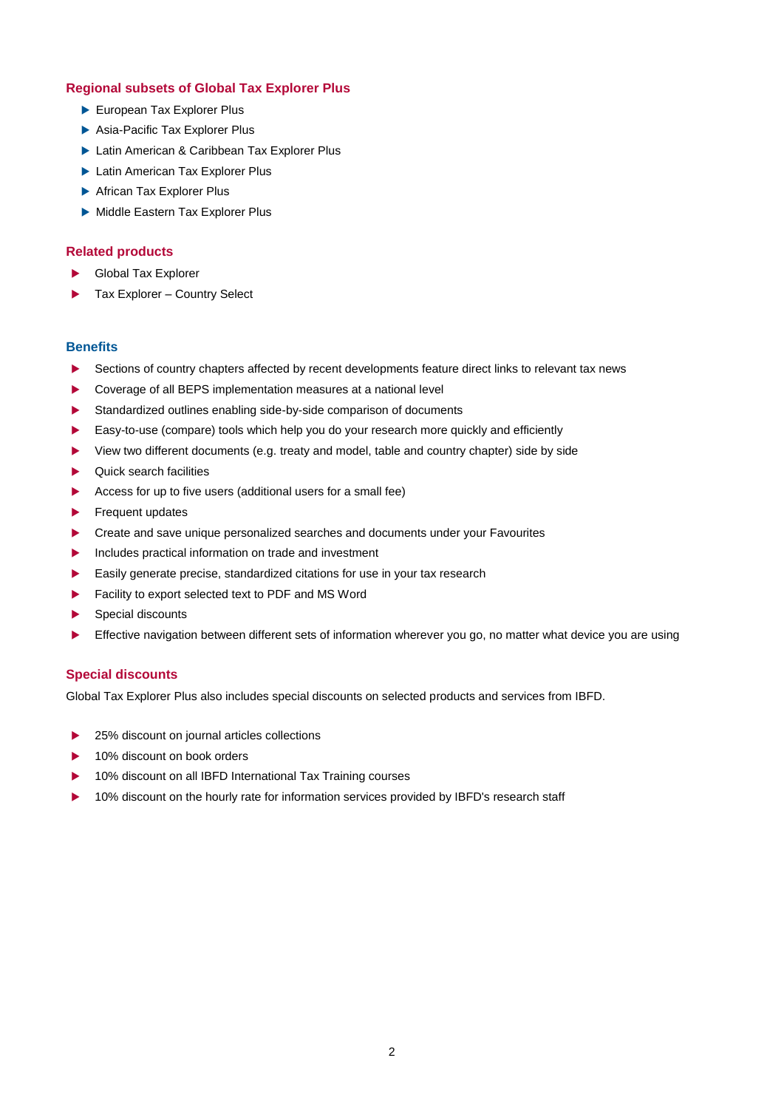### **Regional subsets of Global Tax Explorer Plus**

- [European Tax Explorer Plus](https://www.ibfd.org/IBFD-Products/European-Tax-Explorer-Plus)
- [Asia-Pacific Tax Explorer Plus](https://www.ibfd.org/IBFD-Products/Asia-Pacific-Tax-Explorer-Plus)
- [Latin American & Caribbean](https://www.ibfd.org/IBFD-Products/Latin-American-Caribbean-Tax-Explorer-Plus) Tax Explorer Plus
- **Latin American [Tax Explorer Plus](https://www.ibfd.org/IBFD-Products/Latin-American-Tax-Explorer-Plus)**
- ▶ [African Tax Explorer Plus](https://www.ibfd.org/IBFD-Products/African-Tax-Explorer-Plus)
- Middle Eastern [Tax Explorer Plus](https://www.ibfd.org/IBFD-Products/Middle-Eastern-Tax-Explorer-Plus)

## **Related products**

- Global Tax Explorer
- ▶ Tax Explorer Country Select

#### **Benefits**

- Sections of country chapters affected by recent developments feature direct links to relevant tax news
- Coverage of all BEPS implementation measures at a national level
- Standardized outlines enabling side-by-side comparison of documents
- Easy-to-use (compare) tools which help you do your research more quickly and efficiently
- View two different documents (e.g. treaty and model, table and country chapter) side by side
- $\blacktriangleright$  Quick search facilities
- Access for up to five users (additional users for a small fee)
- Frequent updates
- **EXECTE 2018** Create and save unique personalized searches and documents under your Favourites
- Includes practical information on trade and investment
- Easily generate precise, standardized citations for use in your tax research
- Facility to export selected text to PDF and MS Word
- Special discounts
- Effective navigation between different sets of information wherever you go, no matter what device you are using

#### **Special discounts**

Global Tax Explorer Plus also includes special discounts on selected products and services from IBFD.

- 25% discount on journal articles collections
- 10% discount on book orders
- 10% discount on all IBFD International Tax Training courses
- ▶ 10% discount on the hourly rate for information services provided by IBFD's research staff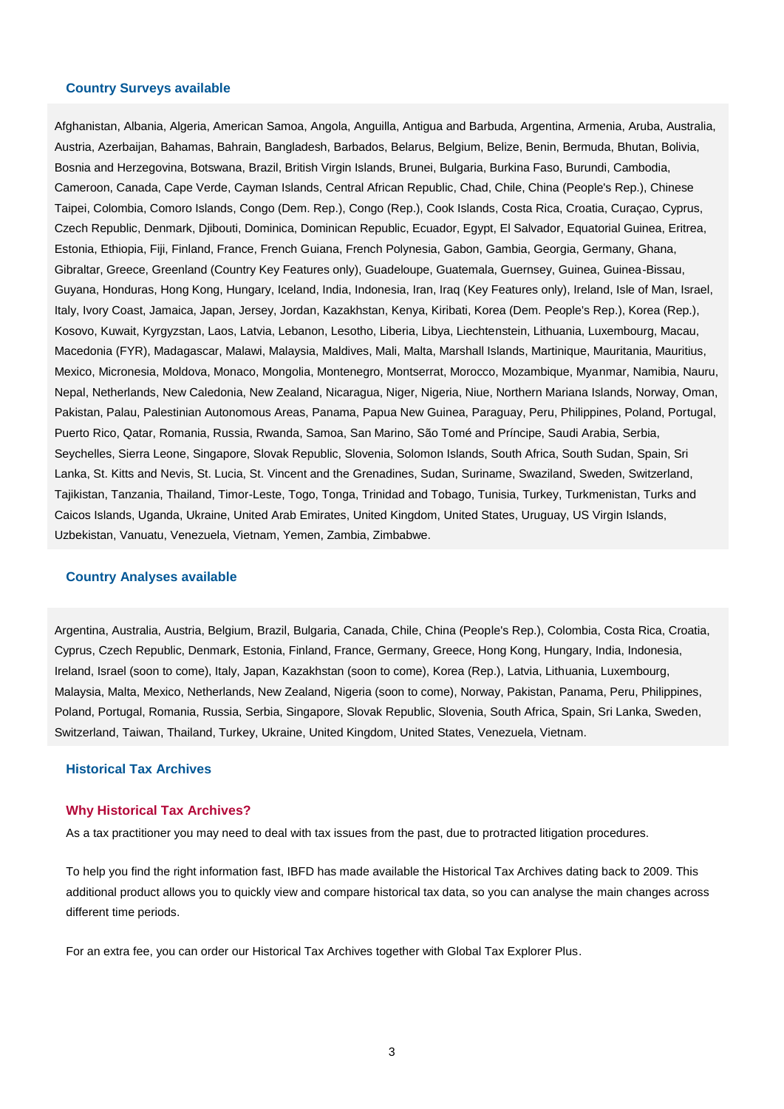#### **Country Surveys available**

Afghanistan, Albania, Algeria, American Samoa, Angola, Anguilla, Antigua and Barbuda, Argentina, Armenia, Aruba, Australia, Austria, Azerbaijan, Bahamas, Bahrain, Bangladesh, Barbados, Belarus, Belgium, Belize, Benin, Bermuda, Bhutan, Bolivia, Bosnia and Herzegovina, Botswana, Brazil, British Virgin Islands, Brunei, Bulgaria, Burkina Faso, Burundi, Cambodia, Cameroon, Canada, Cape Verde, Cayman Islands, Central African Republic, Chad, Chile, China (People's Rep.), Chinese Taipei, Colombia, Comoro Islands, Congo (Dem. Rep.), Congo (Rep.), Cook Islands, Costa Rica, Croatia, Curaçao, Cyprus, Czech Republic, Denmark, Djibouti, Dominica, Dominican Republic, Ecuador, Egypt, El Salvador, Equatorial Guinea, Eritrea, Estonia, Ethiopia, Fiji, Finland, France, French Guiana, French Polynesia, Gabon, Gambia, Georgia, Germany, Ghana, Gibraltar, Greece, Greenland (Country Key Features only), Guadeloupe, Guatemala, Guernsey, Guinea, Guinea-Bissau, Guyana, Honduras, Hong Kong, Hungary, Iceland, India, Indonesia, Iran, Iraq (Key Features only), Ireland, Isle of Man, Israel, Italy, Ivory Coast, Jamaica, Japan, Jersey, Jordan, Kazakhstan, Kenya, Kiribati, Korea (Dem. People's Rep.), Korea (Rep.), Kosovo, Kuwait, Kyrgyzstan, Laos, Latvia, Lebanon, Lesotho, Liberia, Libya, Liechtenstein, Lithuania, Luxembourg, Macau, Macedonia (FYR), Madagascar, Malawi, Malaysia, Maldives, Mali, Malta, Marshall Islands, Martinique, Mauritania, Mauritius, Mexico, Micronesia, Moldova, Monaco, Mongolia, Montenegro, Montserrat, Morocco, Mozambique, Myanmar, Namibia, Nauru, Nepal, Netherlands, New Caledonia, New Zealand, Nicaragua, Niger, Nigeria, Niue, Northern Mariana Islands, Norway, Oman, Pakistan, Palau, Palestinian Autonomous Areas, Panama, Papua New Guinea, Paraguay, Peru, Philippines, Poland, Portugal, Puerto Rico, Qatar, Romania, Russia, Rwanda, Samoa, San Marino, São Tomé and Príncipe, Saudi Arabia, Serbia, Seychelles, Sierra Leone, Singapore, Slovak Republic, Slovenia, Solomon Islands, South Africa, South Sudan, Spain, Sri Lanka, St. Kitts and Nevis, St. Lucia, St. Vincent and the Grenadines, Sudan, Suriname, Swaziland, Sweden, Switzerland, Tajikistan, Tanzania, Thailand, Timor-Leste, Togo, Tonga, Trinidad and Tobago, Tunisia, Turkey, Turkmenistan, Turks and Caicos Islands, Uganda, Ukraine, United Arab Emirates, United Kingdom, United States, Uruguay, US Virgin Islands, Uzbekistan, Vanuatu, Venezuela, Vietnam, Yemen, Zambia, Zimbabwe.

#### **Country Analyses available**

Argentina, Australia, Austria, Belgium, Brazil, Bulgaria, Canada, Chile, China (People's Rep.), Colombia, Costa Rica, Croatia, Cyprus, Czech Republic, Denmark, Estonia, Finland, France, Germany, Greece, Hong Kong, Hungary, India, Indonesia, Ireland, Israel (soon to come), Italy, Japan, Kazakhstan (soon to come), Korea (Rep.), Latvia, Lithuania, Luxembourg, Malaysia, Malta, Mexico, Netherlands, New Zealand, Nigeria (soon to come), Norway, Pakistan, Panama, Peru, Philippines, Poland, Portugal, Romania, Russia, Serbia, Singapore, Slovak Republic, Slovenia, South Africa, Spain, Sri Lanka, Sweden, Switzerland, Taiwan, Thailand, Turkey, Ukraine, United Kingdom, United States, Venezuela, Vietnam.

#### **Historical Tax Archives**

#### **Why Historical Tax Archives?**

As a tax practitioner you may need to deal with tax issues from the past, due to protracted litigation procedures.

To help you find the right information fast, IBFD has made available the Historical Tax Archives dating back to 2009. This additional product allows you to quickly view and compare historical tax data, so you can analyse the main changes across different time periods.

For an extra fee, you can order our Historical Tax Archives together with Global Tax Explorer Plus.